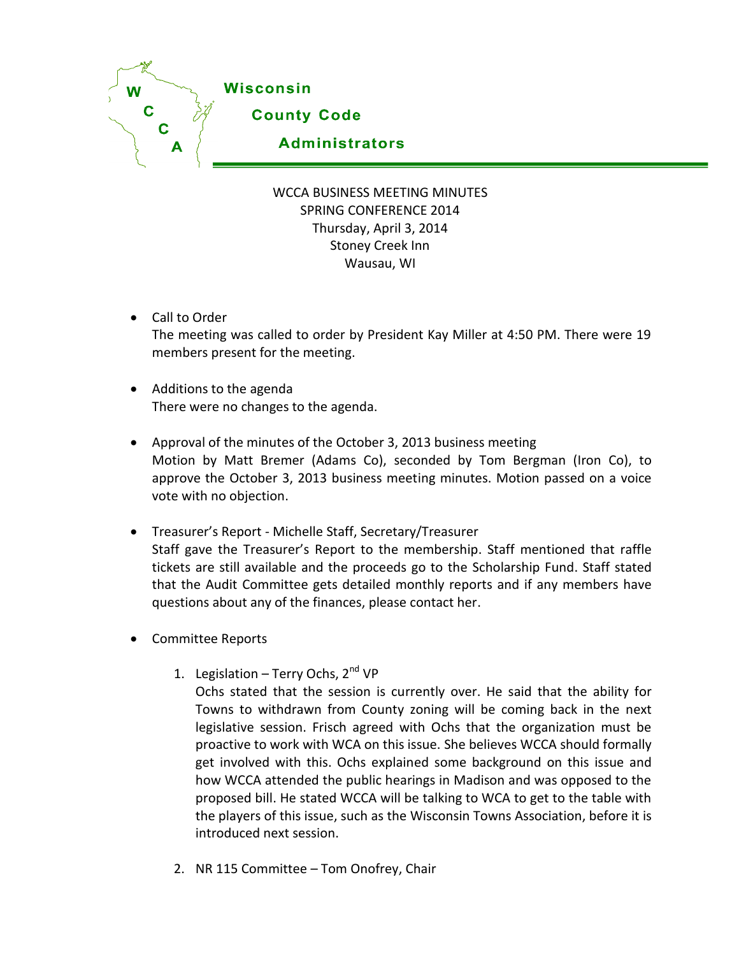

## WCCA BUSINESS MEETING MINUTES SPRING CONFERENCE 2014 Thursday, April 3, 2014 Stoney Creek Inn Wausau, WI

- Call to Order The meeting was called to order by President Kay Miller at 4:50 PM. There were 19 members present for the meeting.
- Additions to the agenda There were no changes to the agenda.
- Approval of the minutes of the October 3, 2013 business meeting Motion by Matt Bremer (Adams Co), seconded by Tom Bergman (Iron Co), to approve the October 3, 2013 business meeting minutes. Motion passed on a voice vote with no objection.
- Treasurer's Report Michelle Staff, Secretary/Treasurer Staff gave the Treasurer's Report to the membership. Staff mentioned that raffle tickets are still available and the proceeds go to the Scholarship Fund. Staff stated that the Audit Committee gets detailed monthly reports and if any members have questions about any of the finances, please contact her.
- Committee Reports
	- 1. Legislation Terry Ochs,  $2^{nd} VP$ 
		- Ochs stated that the session is currently over. He said that the ability for Towns to withdrawn from County zoning will be coming back in the next legislative session. Frisch agreed with Ochs that the organization must be proactive to work with WCA on this issue. She believes WCCA should formally get involved with this. Ochs explained some background on this issue and how WCCA attended the public hearings in Madison and was opposed to the proposed bill. He stated WCCA will be talking to WCA to get to the table with the players of this issue, such as the Wisconsin Towns Association, before it is introduced next session.
	- 2. NR 115 Committee Tom Onofrey, Chair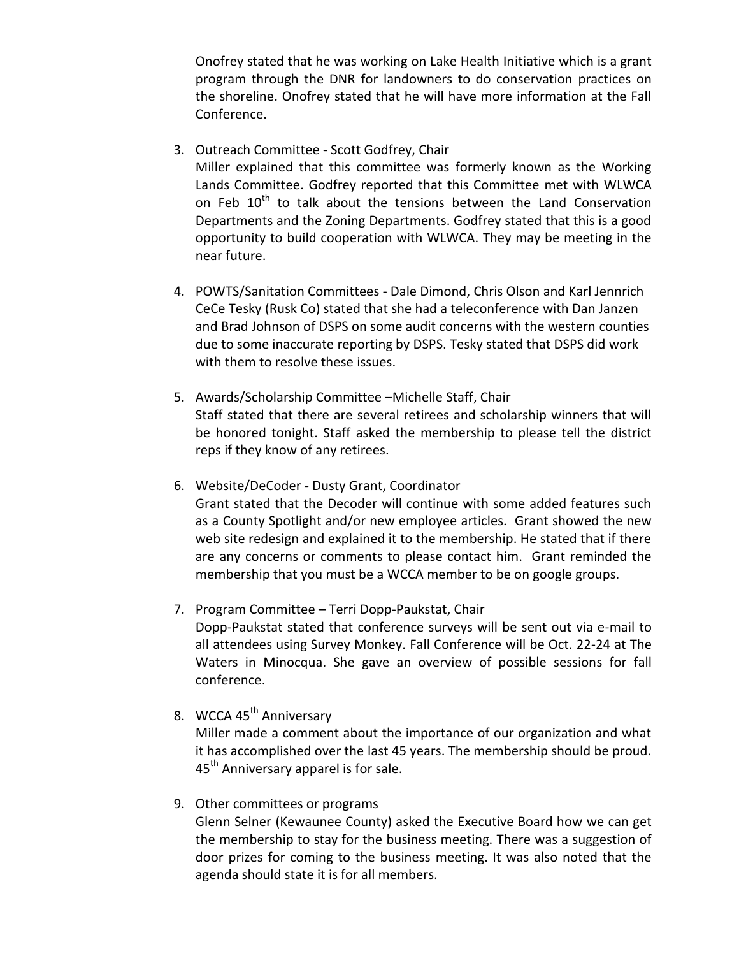Onofrey stated that he was working on Lake Health Initiative which is a grant program through the DNR for landowners to do conservation practices on the shoreline. Onofrey stated that he will have more information at the Fall Conference.

3. Outreach Committee - Scott Godfrey, Chair

Miller explained that this committee was formerly known as the Working Lands Committee. Godfrey reported that this Committee met with WLWCA on Feb 10<sup>th</sup> to talk about the tensions between the Land Conservation Departments and the Zoning Departments. Godfrey stated that this is a good opportunity to build cooperation with WLWCA. They may be meeting in the near future.

- 4. POWTS/Sanitation Committees Dale Dimond, Chris Olson and Karl Jennrich CeCe Tesky (Rusk Co) stated that she had a teleconference with Dan Janzen and Brad Johnson of DSPS on some audit concerns with the western counties due to some inaccurate reporting by DSPS. Tesky stated that DSPS did work with them to resolve these issues.
- 5. Awards/Scholarship Committee –Michelle Staff, Chair Staff stated that there are several retirees and scholarship winners that will be honored tonight. Staff asked the membership to please tell the district reps if they know of any retirees.
- 6. Website/DeCoder Dusty Grant, Coordinator Grant stated that the Decoder will continue with some added features such as a County Spotlight and/or new employee articles. Grant showed the new web site redesign and explained it to the membership. He stated that if there are any concerns or comments to please contact him. Grant reminded the membership that you must be a WCCA member to be on google groups.
- 7. Program Committee Terri Dopp-Paukstat, Chair Dopp-Paukstat stated that conference surveys will be sent out via e-mail to all attendees using Survey Monkey. Fall Conference will be Oct. 22-24 at The Waters in Minocqua. She gave an overview of possible sessions for fall conference.
- 8. WCCA 45<sup>th</sup> Anniversary

Miller made a comment about the importance of our organization and what it has accomplished over the last 45 years. The membership should be proud. 45<sup>th</sup> Anniversary apparel is for sale.

9. Other committees or programs

Glenn Selner (Kewaunee County) asked the Executive Board how we can get the membership to stay for the business meeting. There was a suggestion of door prizes for coming to the business meeting. It was also noted that the agenda should state it is for all members.